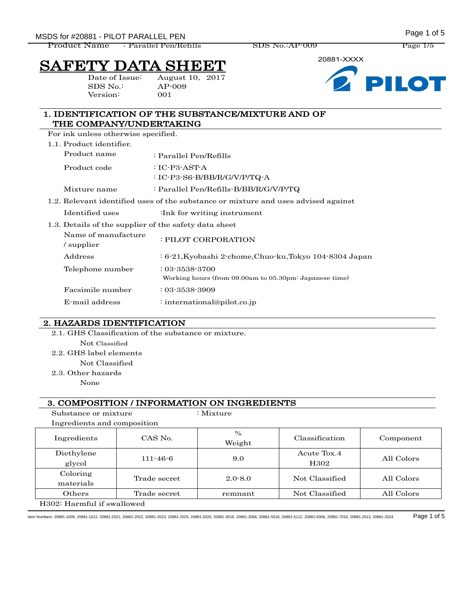MSDS for #20881 - PILOT PARALLEL PEN **All and the set of 5** MSDS for #20881 - PILOT PARALLEL PEN

Product Name : Parallel Pen/Refills SDS No.:AP-009 Page 1/5

# FETY DATA SHE

SDS No.: AP-009 Version: 001

Date of Issue: August 10, 2017





#### 1. IDENTIFICATION OF THE SUBSTANCE/MIXTURE AND OF THE COMPANY/UNDERTAKING

For ink unless otherwise specified.

1.1. Product identifier.

| Product name | : Parallel Pen/Refills                                                             |
|--------------|------------------------------------------------------------------------------------|
| Product code | : IC-P3-AST-A                                                                      |
|              | : IC-P3-S6-B/BB/R/G/V/P/TQ-A                                                       |
| Mixture name | : Parallel Pen/Refills-B/BB/R/G/V/P/TQ                                             |
|              | 1.2. Relevant identified uses of the substance or mixture and uses advised against |

- Identified uses :Ink for writing instrument
- 1.3. Details of the supplier of the safety data sheet

| Name of manufacture<br>supplier / | : PILOT CORPORATION                                                            |
|-----------------------------------|--------------------------------------------------------------------------------|
| Address                           | : 6-21, Kyobashi 2-chome, Chuo-ku, Tokyo 104-8304 Japan                        |
| Telephone number                  | $: 03 - 3538 - 3700$<br>Working hours (from 09.00am to 05.30pm: Japanese time) |
| Facsimile number                  | $: 03 - 3538 - 3909$                                                           |
| E-mail address                    | : international@pilot.co.jp                                                    |

#### 2. HAZARDS IDENTIFICATION

2.1. GHS Classification of the substance or mixture.

- Not Classified
- 2.2. GHS label elements
	- Not Classified
- 2.3. Other hazards
	- None

#### 3. COMPOSITION / INFORMATION ON INGREDIENTS

| Substance or mixture                    |                | $:$ Mixture             |                                 |            |
|-----------------------------------------|----------------|-------------------------|---------------------------------|------------|
| Ingredients and composition             |                |                         |                                 |            |
| Ingredients                             | CAS No.        | $\frac{0}{0}$<br>Weight | Classification                  | Component  |
| Diethylene<br>glycol                    | $111 - 46 - 6$ | 9.0                     | Acute Tox.4<br>H <sub>302</sub> | All Colors |
| Coloring<br>materials                   | Trade secret   | $2.0 - 8.0$             | Not Classified                  | All Colors |
| Others                                  | Trade secret   | remnant                 | Not Classified                  | All Colors |
| H <sub>302</sub> : Harmful if swallowed |                |                         |                                 |            |

Item Numbers: 20881-1009, 20881-1012, 20881-2021, 20881-2022, 20881-2023, 20881-2025, 20881-2026, 20881-3016, 20881-3066, 20881-5016, 20881-5112, 20881-6006, 20881-7016, 20881-2013, 20881-2024 Page 1 of 5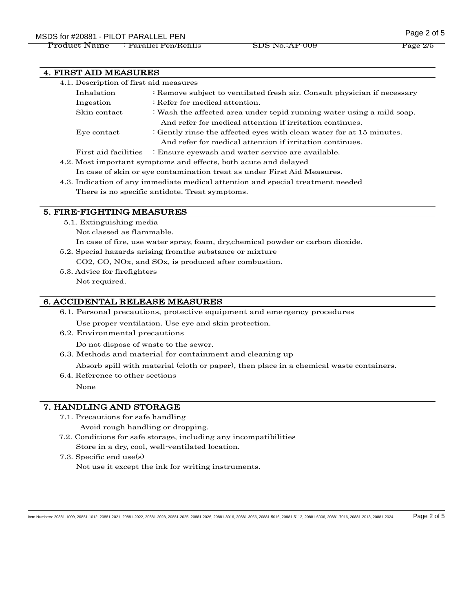## MSDS for #20881 - PILOT PARALLEL PEN

Product Name : Parallel Pen/Refills SDS No.:AP-009 Page 2/5

#### 4. FIRST AID MEASURES

| 4.1. Description of first aid measures |                                                                          |  |
|----------------------------------------|--------------------------------------------------------------------------|--|
| Inhalation                             | : Remove subject to ventilated fresh air. Consult physician if necessary |  |
| Ingestion                              | : Refer for medical attention.                                           |  |
| Skin contact                           | : Wash the affected area under tepid running water using a mild soap.    |  |
|                                        | And refer for medical attention if irritation continues.                 |  |
| Eye contact                            | : Gently rinse the affected eyes with clean water for at 15 minutes.     |  |
|                                        | And refer for medical attention if irritation continues.                 |  |
| First aid facilities                   | : Ensure eyewash and water service are available.                        |  |
|                                        |                                                                          |  |

4.2. Most important symptoms and effects, both acute and delayed

In case of skin or eye contamination treat as under First Aid Measures.

4.3. Indication of any immediate medical attention and special treatment needed There is no specific antidote. Treat symptoms.

#### 5. FIRE-FIGHTING MEASURES

- 5.1. Extinguishing media
	- Not classed as flammable.
	- In case of fire, use water spray, foam, dry,chemical powder or carbon dioxide.
- 5.2. Special hazards arising fromthe substance or mixture CO2, CO, NOx, and SOx, is produced after combustion.
- 5.3. Advice for firefighters Not required.

#### 6. ACCIDENTAL RELEASE MEASURES

6.1. Personal precautions, protective equipment and emergency procedures

Use proper ventilation. Use eye and skin protection.

6.2. Environmental precautions

Do not dispose of waste to the sewer.

6.3. Methods and material for containment and cleaning up

Absorb spill with material (cloth or paper), then place in a chemical waste containers.

6.4. Reference to other sections

None

#### 7. HANDLING AND STORAGE

7.1. Precautions for safe handling

Avoid rough handling or dropping.

- 7.2. Conditions for safe storage, including any incompatibilities Store in a dry, cool, well-ventilated location.
- 7.3. Specific end use(s)

Not use it except the ink for writing instruments.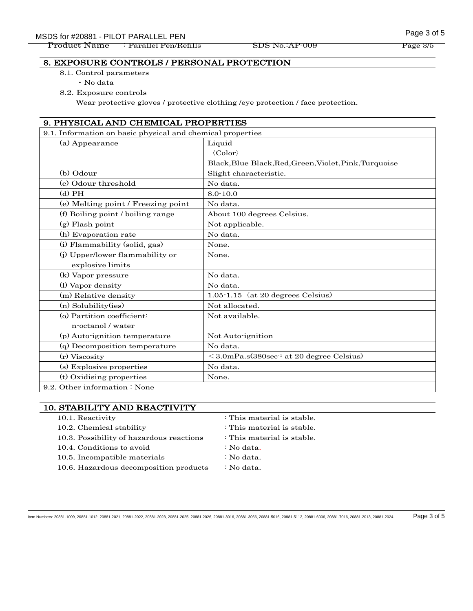## MSDS for #20881 - PILOT PARALLEL PEN **Example 2 of 5** MSDS for #20881 - PILOT PARALLEL PEN

Product Name : Parallel Pen/Refills SDS No.:AP-009 Page 3/5

#### 8. EXPOSURE CONTROLS / PERSONAL PROTECTION

8.1. Control parameters

・No data

8.2. Exposure controls

Wear protective gloves / protective clothing /eye protection / face protection.

#### 9. PHYSICAL AND CHEMICAL PROPERTIES

| 9.1. Information on basic physical and chemical properties |                                                        |  |  |
|------------------------------------------------------------|--------------------------------------------------------|--|--|
| (a) Appearance                                             | Liquid                                                 |  |  |
|                                                            | $\langle Color\rangle$                                 |  |  |
|                                                            | Black, Blue Black, Red, Green, Violet, Pink, Turquoise |  |  |
| (b) Odour                                                  | Slight characteristic.                                 |  |  |
| (c) Odour threshold                                        | No data.                                               |  |  |
| $(d)$ PH                                                   | $8.0 - 10.0$                                           |  |  |
| (e) Melting point / Freezing point                         | No data.                                               |  |  |
| (f) Boiling point / boiling range                          | About 100 degrees Celsius.                             |  |  |
| $(g)$ Flash point                                          | Not applicable.                                        |  |  |
| (h) Evaporation rate                                       | No data.                                               |  |  |
| (i) Flammability (solid, gas)                              | None.                                                  |  |  |
| (j) Upper/lower flammability or                            | None.                                                  |  |  |
| explosive limits                                           |                                                        |  |  |
| (k) Vapor pressure                                         | No data.                                               |  |  |
| (l) Vapor density                                          | No data.                                               |  |  |
| (m) Relative density                                       | $1.05 - 1.15$ (at 20 degrees Celsius)                  |  |  |
| (n) Solubility(ies)                                        | Not allocated.                                         |  |  |
| (o) Partition coefficient:                                 | Not available.                                         |  |  |
| n-octanol / water                                          |                                                        |  |  |
| (p) Auto-ignition temperature                              | Not Auto-ignition                                      |  |  |
| (q) Decomposition temperature                              | No data.                                               |  |  |
| (r) Viscosity                                              | $\leq$ 3.0mPa.s $(380\sec^1 a t 20$ degree Celsius)    |  |  |
| (s) Explosive properties                                   | No data.                                               |  |  |
| (t) Oxidising properties                                   | None.                                                  |  |  |
| 9.2. Other information : None                              |                                                        |  |  |

material is stable. material is stable. material is stable.

#### 10. STABILITY AND REACTIVITY

| 10.1. Reactivity                         | : This mat |
|------------------------------------------|------------|
| 10.2. Chemical stability                 | : This mat |
| 10.3. Possibility of hazardous reactions | : This mat |
| 10.4. Conditions to avoid                | : No data. |
| 10.5. Incompatible materials             | : No data. |
| 10.6. Hazardous decomposition products   | : No data. |

Item Numbers: 20881-1009, 20881-1012, 20881-2021, 20881-2022, 20881-2023, 20881-2025, 20881-2026, 20881-3016, 20881-3066, 20881-5016, 20881-5112, 20881-6006, 20881-7016, 20881-2013, 20881-2024 Page 3 of 5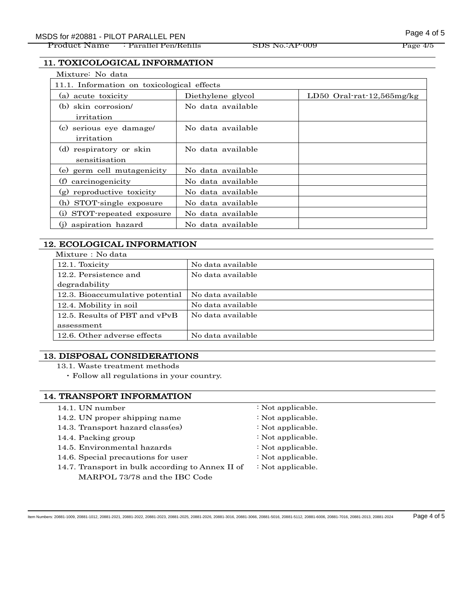Product Name : Parallel Pen/Refills SDS No.:AP-009 Page 4/5

#### 11. TOXICOLOGICAL INFORMATION

| Mixture: No data                                    |                   |                               |
|-----------------------------------------------------|-------------------|-------------------------------|
| 11.1. Information on toxicological effects          |                   |                               |
| (a) acute toxicity                                  | Diethylene glycol | LD50 Oral-rat- $12,565$ mg/kg |
| (b) skin corrosion                                  | No data available |                               |
| irritation                                          |                   |                               |
| serious eye damage/<br>(c)                          | No data available |                               |
| irritation                                          |                   |                               |
| (d) respiratory or skin                             | No data available |                               |
| sensitisation                                       |                   |                               |
| (e) germ cell mutagenicity                          | No data available |                               |
| (f)<br>carcinogenicity                              | No data available |                               |
| $\left( \mathbf{g}\right)$<br>reproductive toxicity | No data available |                               |
| (h) STOT-single exposure                            | No data available |                               |
| (i)<br>STOT-repeated exposure                       | No data available |                               |
| aspiration hazard<br>(i)                            | No data available |                               |

### 12. ECOLOGICAL INFORMATION

|--|

| 12.1. Toxicity                  | No data available |  |
|---------------------------------|-------------------|--|
| 12.2. Persistence and           | No data available |  |
| degradability                   |                   |  |
| 12.3. Bioaccumulative potential | No data available |  |
| 12.4. Mobility in soil          | No data available |  |
| 12.5. Results of PBT and vPvB   | No data available |  |
| assessment                      |                   |  |
| 12.6. Other adverse effects     | No data available |  |

#### 13. DISPOSAL CONSIDERATIONS

- 13.1. Waste treatment methods
	- ・Follow all regulations in your country.

#### 14. TRANSPORT INFORMATION

14.1. UN number : Not applicable. 14.2. UN proper shipping name : Not applicable. 14.3. Transport hazard class(es) : Not applicable. 14.4. Packing group : Not applicable. 14.5. Environmental hazards : Not applicable. 14.6. Special precautions for user : Not applicable. 14.7. Transport in bulk according to Annex II of MARPOL 73/78 and the IBC Code : Not applicable.

Item Numbers: 20881-1009, 20881-1012, 20881-2021, 20881-2022, 20881-2023, 20881-2025, 20881-2026, 20881-3016, 20881-3066, 20881-5016, 20881-5112, 20881-6006, 20881-7016, 20881-2013, 20881-2024 Page 4 of 5